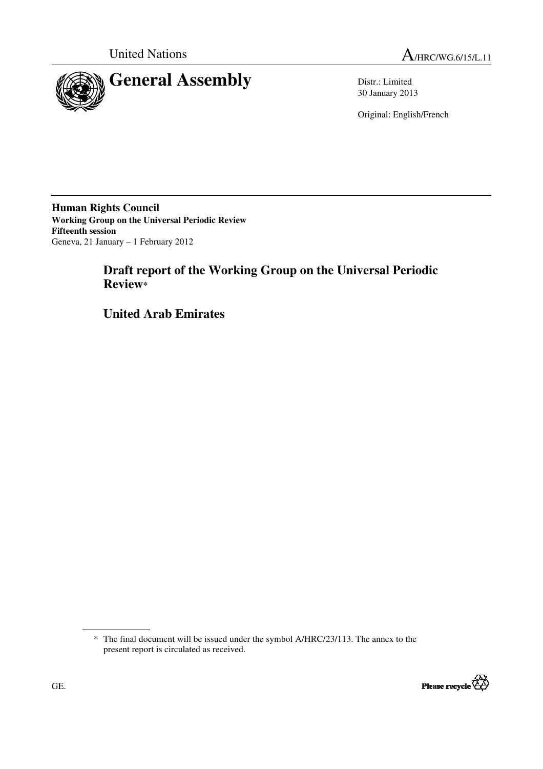

30 January 2013

Original: English/French

**Human Rights Council Working Group on the Universal Periodic Review Fifteenth session**  Geneva, 21 January – 1 February 2012

# **Draft report of the Working Group on the Universal Periodic Review\***

 **United Arab Emirates** 

<sup>\*</sup> The final document will be issued under the symbol A/HRC/23/113. The annex to the present report is circulated as received.

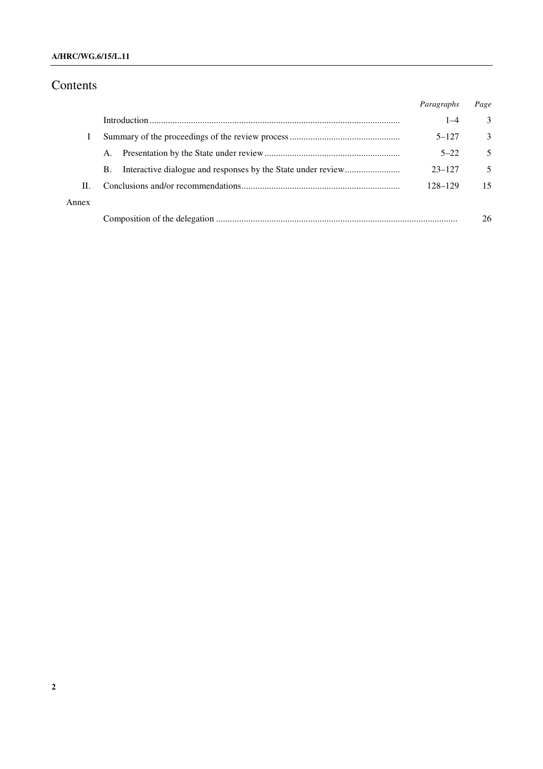### **A/HRC/WG.6/15/L.11**

# Contents

|       |    | Paragraphs | Page          |
|-------|----|------------|---------------|
|       |    | $1 - 4$    | 3             |
|       |    | $5 - 127$  | $\mathcal{E}$ |
|       | A. | $5 - 22$   | 5             |
|       | B. | $23 - 127$ | 5             |
| П.    |    | 128-129    | 15            |
| Annex |    |            |               |
|       |    |            | 26            |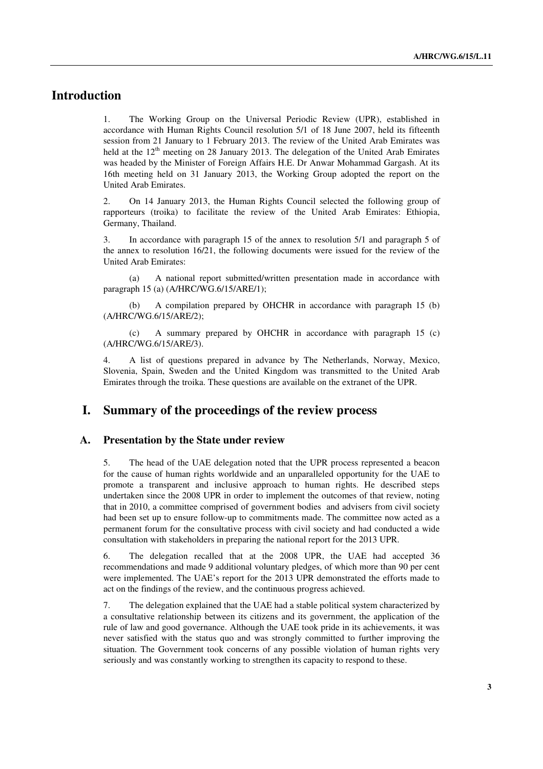## **Introduction**

1. The Working Group on the Universal Periodic Review (UPR), established in accordance with Human Rights Council resolution 5/1 of 18 June 2007, held its fifteenth session from 21 January to 1 February 2013. The review of the United Arab Emirates was held at the  $12<sup>th</sup>$  meeting on 28 January 2013. The delegation of the United Arab Emirates was headed by the Minister of Foreign Affairs H.E. Dr Anwar Mohammad Gargash. At its 16th meeting held on 31 January 2013, the Working Group adopted the report on the United Arab Emirates.

2. On 14 January 2013, the Human Rights Council selected the following group of rapporteurs (troika) to facilitate the review of the United Arab Emirates: Ethiopia, Germany, Thailand.

3. In accordance with paragraph 15 of the annex to resolution 5/1 and paragraph 5 of the annex to resolution 16/21, the following documents were issued for the review of the United Arab Emirates:

 (a) A national report submitted/written presentation made in accordance with paragraph 15 (a) (A/HRC/WG.6/15/ARE/1);

 (b) A compilation prepared by OHCHR in accordance with paragraph 15 (b) (A/HRC/WG.6/15/ARE/2);

 (c) A summary prepared by OHCHR in accordance with paragraph 15 (c) (A/HRC/WG.6/15/ARE/3).

4. A list of questions prepared in advance by The Netherlands, Norway, Mexico, Slovenia, Spain, Sweden and the United Kingdom was transmitted to the United Arab Emirates through the troika. These questions are available on the extranet of the UPR.

## **I. Summary of the proceedings of the review process**

#### **A. Presentation by the State under review**

5. The head of the UAE delegation noted that the UPR process represented a beacon for the cause of human rights worldwide and an unparalleled opportunity for the UAE to promote a transparent and inclusive approach to human rights. He described steps undertaken since the 2008 UPR in order to implement the outcomes of that review, noting that in 2010, a committee comprised of government bodies and advisers from civil society had been set up to ensure follow-up to commitments made. The committee now acted as a permanent forum for the consultative process with civil society and had conducted a wide consultation with stakeholders in preparing the national report for the 2013 UPR.

6. The delegation recalled that at the 2008 UPR, the UAE had accepted 36 recommendations and made 9 additional voluntary pledges, of which more than 90 per cent were implemented. The UAE's report for the 2013 UPR demonstrated the efforts made to act on the findings of the review, and the continuous progress achieved.

7. The delegation explained that the UAE had a stable political system characterized by a consultative relationship between its citizens and its government, the application of the rule of law and good governance. Although the UAE took pride in its achievements, it was never satisfied with the status quo and was strongly committed to further improving the situation. The Government took concerns of any possible violation of human rights very seriously and was constantly working to strengthen its capacity to respond to these.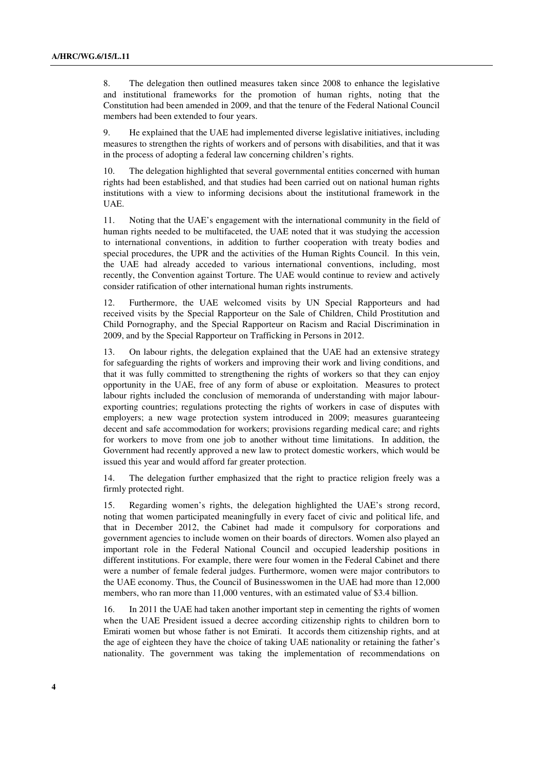8. The delegation then outlined measures taken since 2008 to enhance the legislative and institutional frameworks for the promotion of human rights, noting that the Constitution had been amended in 2009, and that the tenure of the Federal National Council members had been extended to four years.

9. He explained that the UAE had implemented diverse legislative initiatives, including measures to strengthen the rights of workers and of persons with disabilities, and that it was in the process of adopting a federal law concerning children's rights.

10. The delegation highlighted that several governmental entities concerned with human rights had been established, and that studies had been carried out on national human rights institutions with a view to informing decisions about the institutional framework in the UAE.

11. Noting that the UAE's engagement with the international community in the field of human rights needed to be multifaceted, the UAE noted that it was studying the accession to international conventions, in addition to further cooperation with treaty bodies and special procedures, the UPR and the activities of the Human Rights Council. In this vein, the UAE had already acceded to various international conventions, including, most recently, the Convention against Torture. The UAE would continue to review and actively consider ratification of other international human rights instruments.

12. Furthermore, the UAE welcomed visits by UN Special Rapporteurs and had received visits by the Special Rapporteur on the Sale of Children, Child Prostitution and Child Pornography, and the Special Rapporteur on Racism and Racial Discrimination in 2009, and by the Special Rapporteur on Trafficking in Persons in 2012.

13. On labour rights, the delegation explained that the UAE had an extensive strategy for safeguarding the rights of workers and improving their work and living conditions, and that it was fully committed to strengthening the rights of workers so that they can enjoy opportunity in the UAE, free of any form of abuse or exploitation. Measures to protect labour rights included the conclusion of memoranda of understanding with major labourexporting countries; regulations protecting the rights of workers in case of disputes with employers; a new wage protection system introduced in 2009; measures guaranteeing decent and safe accommodation for workers; provisions regarding medical care; and rights for workers to move from one job to another without time limitations. In addition, the Government had recently approved a new law to protect domestic workers, which would be issued this year and would afford far greater protection.

14. The delegation further emphasized that the right to practice religion freely was a firmly protected right.

15. Regarding women's rights, the delegation highlighted the UAE's strong record, noting that women participated meaningfully in every facet of civic and political life, and that in December 2012, the Cabinet had made it compulsory for corporations and government agencies to include women on their boards of directors. Women also played an important role in the Federal National Council and occupied leadership positions in different institutions. For example, there were four women in the Federal Cabinet and there were a number of female federal judges. Furthermore, women were major contributors to the UAE economy. Thus, the Council of Businesswomen in the UAE had more than 12,000 members, who ran more than 11,000 ventures, with an estimated value of \$3.4 billion.

16. In 2011 the UAE had taken another important step in cementing the rights of women when the UAE President issued a decree according citizenship rights to children born to Emirati women but whose father is not Emirati. It accords them citizenship rights, and at the age of eighteen they have the choice of taking UAE nationality or retaining the father's nationality. The government was taking the implementation of recommendations on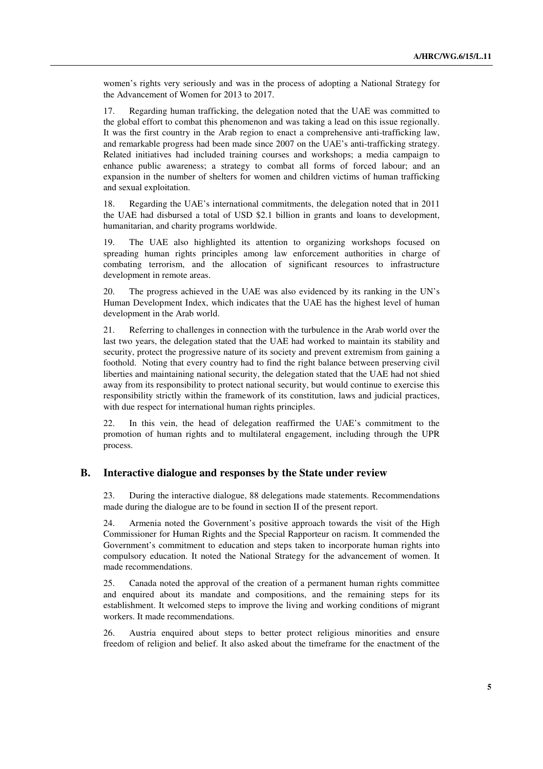women's rights very seriously and was in the process of adopting a National Strategy for the Advancement of Women for 2013 to 2017.

17. Regarding human trafficking, the delegation noted that the UAE was committed to the global effort to combat this phenomenon and was taking a lead on this issue regionally. It was the first country in the Arab region to enact a comprehensive anti-trafficking law, and remarkable progress had been made since 2007 on the UAE's anti-trafficking strategy. Related initiatives had included training courses and workshops; a media campaign to enhance public awareness; a strategy to combat all forms of forced labour; and an expansion in the number of shelters for women and children victims of human trafficking and sexual exploitation.

18. Regarding the UAE's international commitments, the delegation noted that in 2011 the UAE had disbursed a total of USD \$2.1 billion in grants and loans to development, humanitarian, and charity programs worldwide.

19. The UAE also highlighted its attention to organizing workshops focused on spreading human rights principles among law enforcement authorities in charge of combating terrorism, and the allocation of significant resources to infrastructure development in remote areas.

20. The progress achieved in the UAE was also evidenced by its ranking in the UN's Human Development Index, which indicates that the UAE has the highest level of human development in the Arab world.

21. Referring to challenges in connection with the turbulence in the Arab world over the last two years, the delegation stated that the UAE had worked to maintain its stability and security, protect the progressive nature of its society and prevent extremism from gaining a foothold. Noting that every country had to find the right balance between preserving civil liberties and maintaining national security, the delegation stated that the UAE had not shied away from its responsibility to protect national security, but would continue to exercise this responsibility strictly within the framework of its constitution, laws and judicial practices, with due respect for international human rights principles.

22. In this vein, the head of delegation reaffirmed the UAE's commitment to the promotion of human rights and to multilateral engagement, including through the UPR process.

#### **B. Interactive dialogue and responses by the State under review**

23. During the interactive dialogue, 88 delegations made statements. Recommendations made during the dialogue are to be found in section II of the present report.

24. Armenia noted the Government's positive approach towards the visit of the High Commissioner for Human Rights and the Special Rapporteur on racism. It commended the Government's commitment to education and steps taken to incorporate human rights into compulsory education. It noted the National Strategy for the advancement of women. It made recommendations.

25. Canada noted the approval of the creation of a permanent human rights committee and enquired about its mandate and compositions, and the remaining steps for its establishment. It welcomed steps to improve the living and working conditions of migrant workers. It made recommendations.

26. Austria enquired about steps to better protect religious minorities and ensure freedom of religion and belief. It also asked about the timeframe for the enactment of the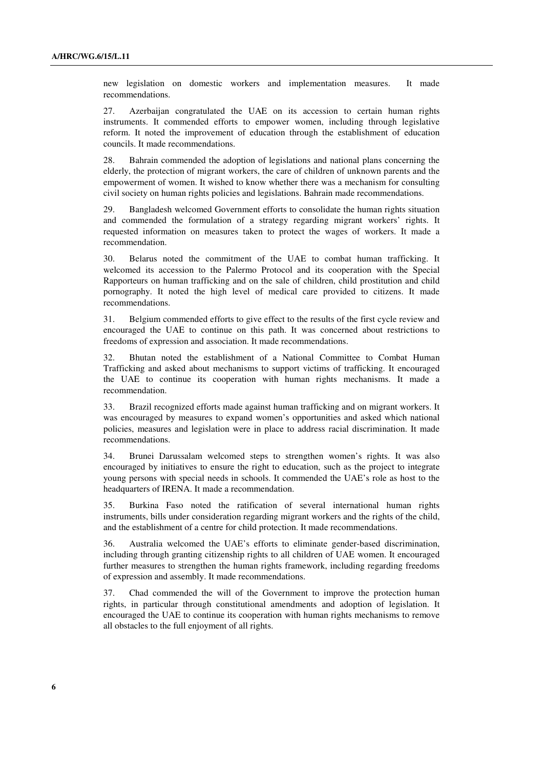new legislation on domestic workers and implementation measures. It made recommendations.

27. Azerbaijan congratulated the UAE on its accession to certain human rights instruments. It commended efforts to empower women, including through legislative reform. It noted the improvement of education through the establishment of education councils. It made recommendations.

28. Bahrain commended the adoption of legislations and national plans concerning the elderly, the protection of migrant workers, the care of children of unknown parents and the empowerment of women. It wished to know whether there was a mechanism for consulting civil society on human rights policies and legislations. Bahrain made recommendations.

29. Bangladesh welcomed Government efforts to consolidate the human rights situation and commended the formulation of a strategy regarding migrant workers' rights. It requested information on measures taken to protect the wages of workers. It made a recommendation.

30. Belarus noted the commitment of the UAE to combat human trafficking. It welcomed its accession to the Palermo Protocol and its cooperation with the Special Rapporteurs on human trafficking and on the sale of children, child prostitution and child pornography. It noted the high level of medical care provided to citizens. It made recommendations.

31. Belgium commended efforts to give effect to the results of the first cycle review and encouraged the UAE to continue on this path. It was concerned about restrictions to freedoms of expression and association. It made recommendations.

32. Bhutan noted the establishment of a National Committee to Combat Human Trafficking and asked about mechanisms to support victims of trafficking. It encouraged the UAE to continue its cooperation with human rights mechanisms. It made a recommendation.

33. Brazil recognized efforts made against human trafficking and on migrant workers. It was encouraged by measures to expand women's opportunities and asked which national policies, measures and legislation were in place to address racial discrimination. It made recommendations.

34. Brunei Darussalam welcomed steps to strengthen women's rights. It was also encouraged by initiatives to ensure the right to education, such as the project to integrate young persons with special needs in schools. It commended the UAE's role as host to the headquarters of IRENA. It made a recommendation.

35. Burkina Faso noted the ratification of several international human rights instruments, bills under consideration regarding migrant workers and the rights of the child, and the establishment of a centre for child protection. It made recommendations.

36. Australia welcomed the UAE's efforts to eliminate gender-based discrimination, including through granting citizenship rights to all children of UAE women. It encouraged further measures to strengthen the human rights framework, including regarding freedoms of expression and assembly. It made recommendations.

37. Chad commended the will of the Government to improve the protection human rights, in particular through constitutional amendments and adoption of legislation. It encouraged the UAE to continue its cooperation with human rights mechanisms to remove all obstacles to the full enjoyment of all rights.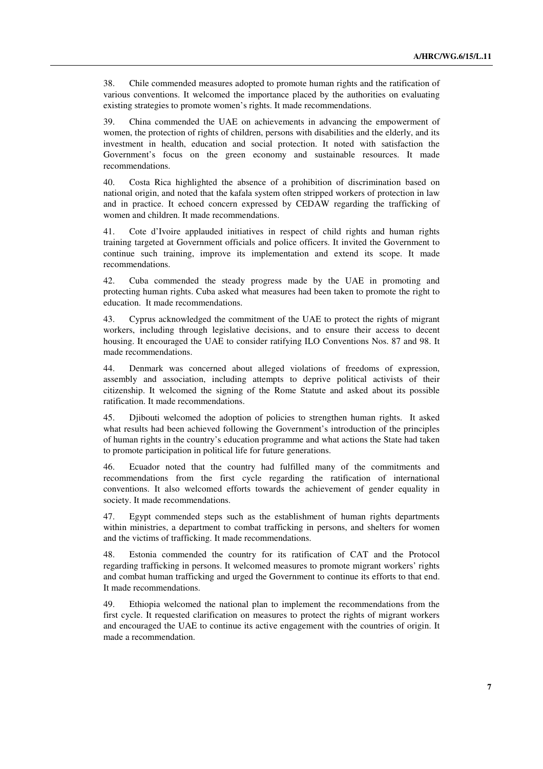38. Chile commended measures adopted to promote human rights and the ratification of various conventions. It welcomed the importance placed by the authorities on evaluating existing strategies to promote women's rights. It made recommendations.

39. China commended the UAE on achievements in advancing the empowerment of women, the protection of rights of children, persons with disabilities and the elderly, and its investment in health, education and social protection. It noted with satisfaction the Government's focus on the green economy and sustainable resources. It made recommendations.

40. Costa Rica highlighted the absence of a prohibition of discrimination based on national origin, and noted that the kafala system often stripped workers of protection in law and in practice. It echoed concern expressed by CEDAW regarding the trafficking of women and children. It made recommendations.

41. Cote d'Ivoire applauded initiatives in respect of child rights and human rights training targeted at Government officials and police officers. It invited the Government to continue such training, improve its implementation and extend its scope. It made recommendations.

42. Cuba commended the steady progress made by the UAE in promoting and protecting human rights. Cuba asked what measures had been taken to promote the right to education. It made recommendations.

43. Cyprus acknowledged the commitment of the UAE to protect the rights of migrant workers, including through legislative decisions, and to ensure their access to decent housing. It encouraged the UAE to consider ratifying ILO Conventions Nos. 87 and 98. It made recommendations.

44. Denmark was concerned about alleged violations of freedoms of expression, assembly and association, including attempts to deprive political activists of their citizenship. It welcomed the signing of the Rome Statute and asked about its possible ratification. It made recommendations.

45. Djibouti welcomed the adoption of policies to strengthen human rights. It asked what results had been achieved following the Government's introduction of the principles of human rights in the country's education programme and what actions the State had taken to promote participation in political life for future generations.

46. Ecuador noted that the country had fulfilled many of the commitments and recommendations from the first cycle regarding the ratification of international conventions. It also welcomed efforts towards the achievement of gender equality in society. It made recommendations.

47. Egypt commended steps such as the establishment of human rights departments within ministries, a department to combat trafficking in persons, and shelters for women and the victims of trafficking. It made recommendations.

48. Estonia commended the country for its ratification of CAT and the Protocol regarding trafficking in persons. It welcomed measures to promote migrant workers' rights and combat human trafficking and urged the Government to continue its efforts to that end. It made recommendations.

49. Ethiopia welcomed the national plan to implement the recommendations from the first cycle. It requested clarification on measures to protect the rights of migrant workers and encouraged the UAE to continue its active engagement with the countries of origin. It made a recommendation.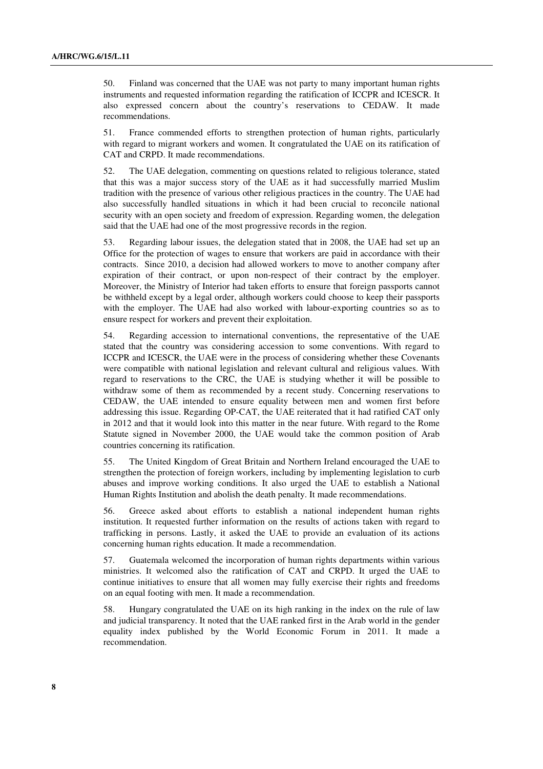50. Finland was concerned that the UAE was not party to many important human rights instruments and requested information regarding the ratification of ICCPR and ICESCR. It also expressed concern about the country's reservations to CEDAW. It made recommendations.

51. France commended efforts to strengthen protection of human rights, particularly with regard to migrant workers and women. It congratulated the UAE on its ratification of CAT and CRPD. It made recommendations.

52. The UAE delegation, commenting on questions related to religious tolerance, stated that this was a major success story of the UAE as it had successfully married Muslim tradition with the presence of various other religious practices in the country. The UAE had also successfully handled situations in which it had been crucial to reconcile national security with an open society and freedom of expression. Regarding women, the delegation said that the UAE had one of the most progressive records in the region.

53. Regarding labour issues, the delegation stated that in 2008, the UAE had set up an Office for the protection of wages to ensure that workers are paid in accordance with their contracts. Since 2010, a decision had allowed workers to move to another company after expiration of their contract, or upon non-respect of their contract by the employer. Moreover, the Ministry of Interior had taken efforts to ensure that foreign passports cannot be withheld except by a legal order, although workers could choose to keep their passports with the employer. The UAE had also worked with labour-exporting countries so as to ensure respect for workers and prevent their exploitation.

54. Regarding accession to international conventions, the representative of the UAE stated that the country was considering accession to some conventions. With regard to ICCPR and ICESCR, the UAE were in the process of considering whether these Covenants were compatible with national legislation and relevant cultural and religious values. With regard to reservations to the CRC, the UAE is studying whether it will be possible to withdraw some of them as recommended by a recent study. Concerning reservations to CEDAW, the UAE intended to ensure equality between men and women first before addressing this issue. Regarding OP-CAT, the UAE reiterated that it had ratified CAT only in 2012 and that it would look into this matter in the near future. With regard to the Rome Statute signed in November 2000, the UAE would take the common position of Arab countries concerning its ratification.

55. The United Kingdom of Great Britain and Northern Ireland encouraged the UAE to strengthen the protection of foreign workers, including by implementing legislation to curb abuses and improve working conditions. It also urged the UAE to establish a National Human Rights Institution and abolish the death penalty. It made recommendations.

56. Greece asked about efforts to establish a national independent human rights institution. It requested further information on the results of actions taken with regard to trafficking in persons. Lastly, it asked the UAE to provide an evaluation of its actions concerning human rights education. It made a recommendation.

57. Guatemala welcomed the incorporation of human rights departments within various ministries. It welcomed also the ratification of CAT and CRPD. It urged the UAE to continue initiatives to ensure that all women may fully exercise their rights and freedoms on an equal footing with men. It made a recommendation.

58. Hungary congratulated the UAE on its high ranking in the index on the rule of law and judicial transparency. It noted that the UAE ranked first in the Arab world in the gender equality index published by the World Economic Forum in 2011. It made a recommendation.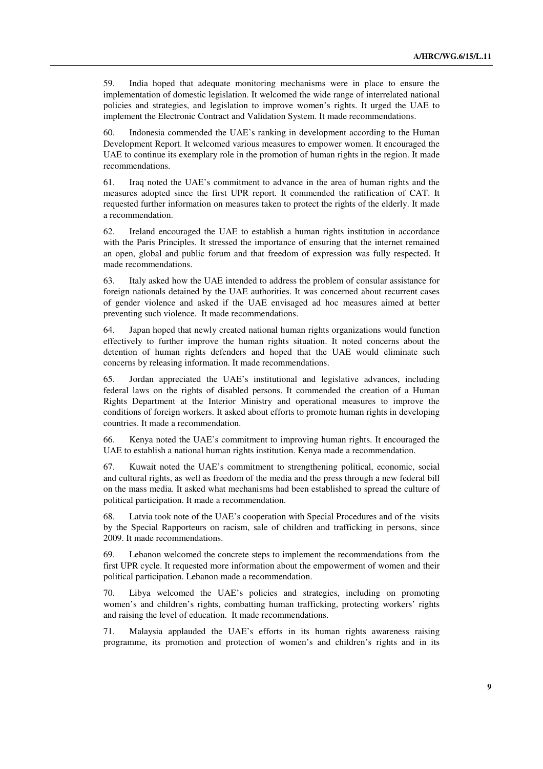59. India hoped that adequate monitoring mechanisms were in place to ensure the implementation of domestic legislation. It welcomed the wide range of interrelated national policies and strategies, and legislation to improve women's rights. It urged the UAE to implement the Electronic Contract and Validation System. It made recommendations.

60. Indonesia commended the UAE's ranking in development according to the Human Development Report. It welcomed various measures to empower women. It encouraged the UAE to continue its exemplary role in the promotion of human rights in the region. It made recommendations.

61. Iraq noted the UAE's commitment to advance in the area of human rights and the measures adopted since the first UPR report. It commended the ratification of CAT. It requested further information on measures taken to protect the rights of the elderly. It made a recommendation.

62. Ireland encouraged the UAE to establish a human rights institution in accordance with the Paris Principles. It stressed the importance of ensuring that the internet remained an open, global and public forum and that freedom of expression was fully respected. It made recommendations.

63. Italy asked how the UAE intended to address the problem of consular assistance for foreign nationals detained by the UAE authorities. It was concerned about recurrent cases of gender violence and asked if the UAE envisaged ad hoc measures aimed at better preventing such violence. It made recommendations.

64. Japan hoped that newly created national human rights organizations would function effectively to further improve the human rights situation. It noted concerns about the detention of human rights defenders and hoped that the UAE would eliminate such concerns by releasing information. It made recommendations.

65. Jordan appreciated the UAE's institutional and legislative advances, including federal laws on the rights of disabled persons. It commended the creation of a Human Rights Department at the Interior Ministry and operational measures to improve the conditions of foreign workers. It asked about efforts to promote human rights in developing countries. It made a recommendation.

66. Kenya noted the UAE's commitment to improving human rights. It encouraged the UAE to establish a national human rights institution. Kenya made a recommendation.

67. Kuwait noted the UAE's commitment to strengthening political, economic, social and cultural rights, as well as freedom of the media and the press through a new federal bill on the mass media. It asked what mechanisms had been established to spread the culture of political participation. It made a recommendation.

68. Latvia took note of the UAE's cooperation with Special Procedures and of the visits by the Special Rapporteurs on racism, sale of children and trafficking in persons, since 2009. It made recommendations.

69. Lebanon welcomed the concrete steps to implement the recommendations from the first UPR cycle. It requested more information about the empowerment of women and their political participation. Lebanon made a recommendation.

70. Libya welcomed the UAE's policies and strategies, including on promoting women's and children's rights, combatting human trafficking, protecting workers' rights and raising the level of education. It made recommendations.

71. Malaysia applauded the UAE's efforts in its human rights awareness raising programme, its promotion and protection of women's and children's rights and in its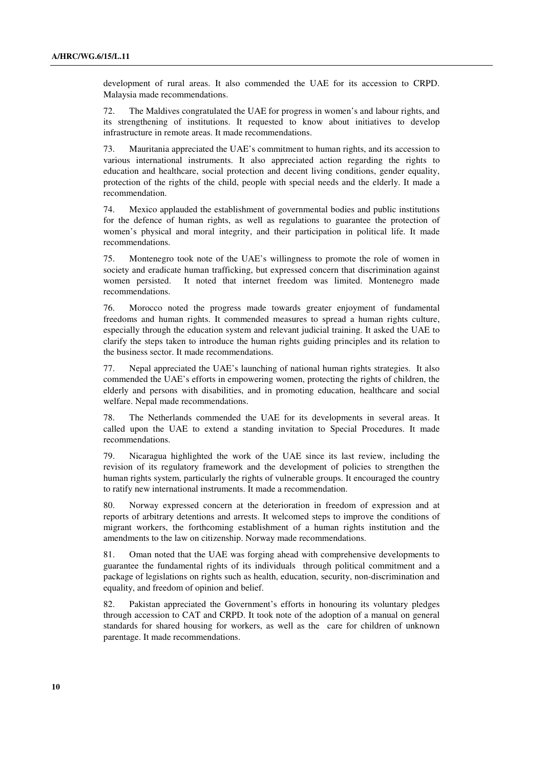development of rural areas. It also commended the UAE for its accession to CRPD. Malaysia made recommendations.

72. The Maldives congratulated the UAE for progress in women's and labour rights, and its strengthening of institutions. It requested to know about initiatives to develop infrastructure in remote areas. It made recommendations.

73. Mauritania appreciated the UAE's commitment to human rights, and its accession to various international instruments. It also appreciated action regarding the rights to education and healthcare, social protection and decent living conditions, gender equality, protection of the rights of the child, people with special needs and the elderly. It made a recommendation.

74. Mexico applauded the establishment of governmental bodies and public institutions for the defence of human rights, as well as regulations to guarantee the protection of women's physical and moral integrity, and their participation in political life. It made recommendations.

75. Montenegro took note of the UAE's willingness to promote the role of women in society and eradicate human trafficking, but expressed concern that discrimination against women persisted. It noted that internet freedom was limited. Montenegro made recommendations.

76. Morocco noted the progress made towards greater enjoyment of fundamental freedoms and human rights. It commended measures to spread a human rights culture, especially through the education system and relevant judicial training. It asked the UAE to clarify the steps taken to introduce the human rights guiding principles and its relation to the business sector. It made recommendations.

77. Nepal appreciated the UAE's launching of national human rights strategies. It also commended the UAE's efforts in empowering women, protecting the rights of children, the elderly and persons with disabilities, and in promoting education, healthcare and social welfare. Nepal made recommendations.

78. The Netherlands commended the UAE for its developments in several areas. It called upon the UAE to extend a standing invitation to Special Procedures. It made recommendations.

79. Nicaragua highlighted the work of the UAE since its last review, including the revision of its regulatory framework and the development of policies to strengthen the human rights system, particularly the rights of vulnerable groups. It encouraged the country to ratify new international instruments. It made a recommendation.

80. Norway expressed concern at the deterioration in freedom of expression and at reports of arbitrary detentions and arrests. It welcomed steps to improve the conditions of migrant workers, the forthcoming establishment of a human rights institution and the amendments to the law on citizenship. Norway made recommendations.

81. Oman noted that the UAE was forging ahead with comprehensive developments to guarantee the fundamental rights of its individuals through political commitment and a package of legislations on rights such as health, education, security, non-discrimination and equality, and freedom of opinion and belief.

82. Pakistan appreciated the Government's efforts in honouring its voluntary pledges through accession to CAT and CRPD. It took note of the adoption of a manual on general standards for shared housing for workers, as well as the care for children of unknown parentage. It made recommendations.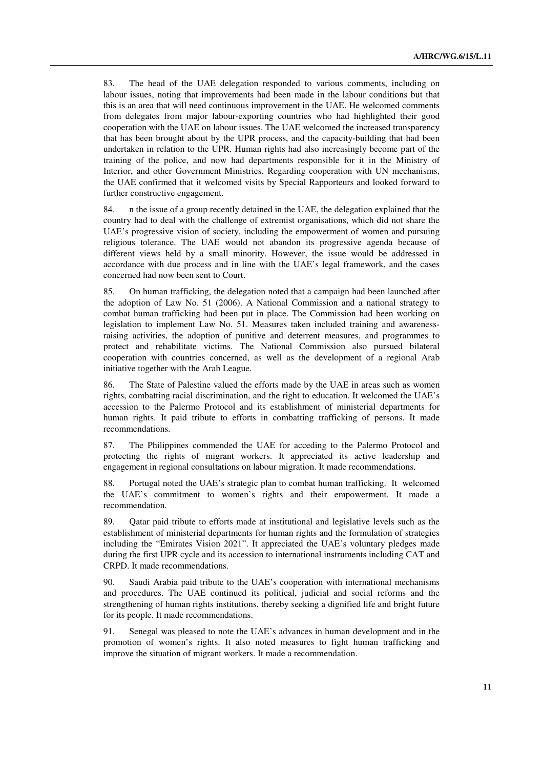83. The head of the UAE delegation responded to various comments, including on labour issues, noting that improvements had been made in the labour conditions but that this is an area that will need continuous improvement in the UAE. He welcomed comments from delegates from major labour-exporting countries who had highlighted their good cooperation with the UAE on labour issues. The UAE welcomed the increased transparency that has been brought about by the UPR process, and the capacity-building that had been undertaken in relation to the UPR. Human rights had also increasingly become part of the training of the police, and now had departments responsible for it in the Ministry of Interior, and other Government Ministries. Regarding cooperation with UN mechanisms, the UAE confirmed that it welcomed visits by Special Rapporteurs and looked forward to further constructive engagement.

84. n the issue of a group recently detained in the UAE, the delegation explained that the country had to deal with the challenge of extremist organisations, which did not share the UAE's progressive vision of society, including the empowerment of women and pursuing religious tolerance. The UAE would not abandon its progressive agenda because of different views held by a small minority. However, the issue would be addressed in accordance with due process and in line with the UAE's legal framework, and the cases concerned had now been sent to Court.

85. On human trafficking, the delegation noted that a campaign had been launched after the adoption of Law No. 51 (2006). A National Commission and a national strategy to combat human trafficking had been put in place. The Commission had been working on legislation to implement Law No. 51. Measures taken included training and awarenessraising activities, the adoption of punitive and deterrent measures, and programmes to protect and rehabilitate victims. The National Commission also pursued bilateral cooperation with countries concerned, as well as the development of a regional Arab initiative together with the Arab League.

86. The State of Palestine valued the efforts made by the UAE in areas such as women rights, combatting racial discrimination, and the right to education. It welcomed the UAE's accession to the Palermo Protocol and its establishment of ministerial departments for human rights. It paid tribute to efforts in combatting trafficking of persons. It made recommendations.

87. The Philippines commended the UAE for acceding to the Palermo Protocol and protecting the rights of migrant workers. It appreciated its active leadership and engagement in regional consultations on labour migration. It made recommendations.

88. Portugal noted the UAE's strategic plan to combat human trafficking. It welcomed the UAE's commitment to women's rights and their empowerment. It made a recommendation.

89. Qatar paid tribute to efforts made at institutional and legislative levels such as the establishment of ministerial departments for human rights and the formulation of strategies including the "Emirates Vision 2021". It appreciated the UAE's voluntary pledges made during the first UPR cycle and its accession to international instruments including CAT and CRPD. It made recommendations.

90. Saudi Arabia paid tribute to the UAE's cooperation with international mechanisms and procedures. The UAE continued its political, judicial and social reforms and the strengthening of human rights institutions, thereby seeking a dignified life and bright future for its people. It made recommendations.

91. Senegal was pleased to note the UAE's advances in human development and in the promotion of women's rights. It also noted measures to fight human trafficking and improve the situation of migrant workers. It made a recommendation.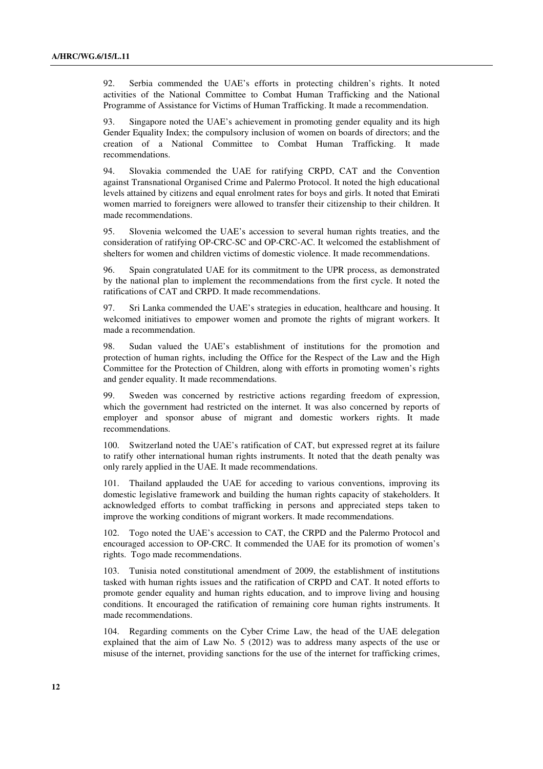92. Serbia commended the UAE's efforts in protecting children's rights. It noted activities of the National Committee to Combat Human Trafficking and the National Programme of Assistance for Victims of Human Trafficking. It made a recommendation.

93. Singapore noted the UAE's achievement in promoting gender equality and its high Gender Equality Index; the compulsory inclusion of women on boards of directors; and the creation of a National Committee to Combat Human Trafficking. It made recommendations.

94. Slovakia commended the UAE for ratifying CRPD, CAT and the Convention against Transnational Organised Crime and Palermo Protocol. It noted the high educational levels attained by citizens and equal enrolment rates for boys and girls. It noted that Emirati women married to foreigners were allowed to transfer their citizenship to their children. It made recommendations.

95. Slovenia welcomed the UAE's accession to several human rights treaties, and the consideration of ratifying OP-CRC-SC and OP-CRC-AC. It welcomed the establishment of shelters for women and children victims of domestic violence. It made recommendations.

96. Spain congratulated UAE for its commitment to the UPR process, as demonstrated by the national plan to implement the recommendations from the first cycle. It noted the ratifications of CAT and CRPD. It made recommendations.

97. Sri Lanka commended the UAE's strategies in education, healthcare and housing. It welcomed initiatives to empower women and promote the rights of migrant workers. It made a recommendation.

98. Sudan valued the UAE's establishment of institutions for the promotion and protection of human rights, including the Office for the Respect of the Law and the High Committee for the Protection of Children, along with efforts in promoting women's rights and gender equality. It made recommendations.

99. Sweden was concerned by restrictive actions regarding freedom of expression, which the government had restricted on the internet. It was also concerned by reports of employer and sponsor abuse of migrant and domestic workers rights. It made recommendations.

100. Switzerland noted the UAE's ratification of CAT, but expressed regret at its failure to ratify other international human rights instruments. It noted that the death penalty was only rarely applied in the UAE. It made recommendations.

101. Thailand applauded the UAE for acceding to various conventions, improving its domestic legislative framework and building the human rights capacity of stakeholders. It acknowledged efforts to combat trafficking in persons and appreciated steps taken to improve the working conditions of migrant workers. It made recommendations.

102. Togo noted the UAE's accession to CAT, the CRPD and the Palermo Protocol and encouraged accession to OP-CRC. It commended the UAE for its promotion of women's rights. Togo made recommendations.

103. Tunisia noted constitutional amendment of 2009, the establishment of institutions tasked with human rights issues and the ratification of CRPD and CAT. It noted efforts to promote gender equality and human rights education, and to improve living and housing conditions. It encouraged the ratification of remaining core human rights instruments. It made recommendations.

104. Regarding comments on the Cyber Crime Law, the head of the UAE delegation explained that the aim of Law No. 5 (2012) was to address many aspects of the use or misuse of the internet, providing sanctions for the use of the internet for trafficking crimes,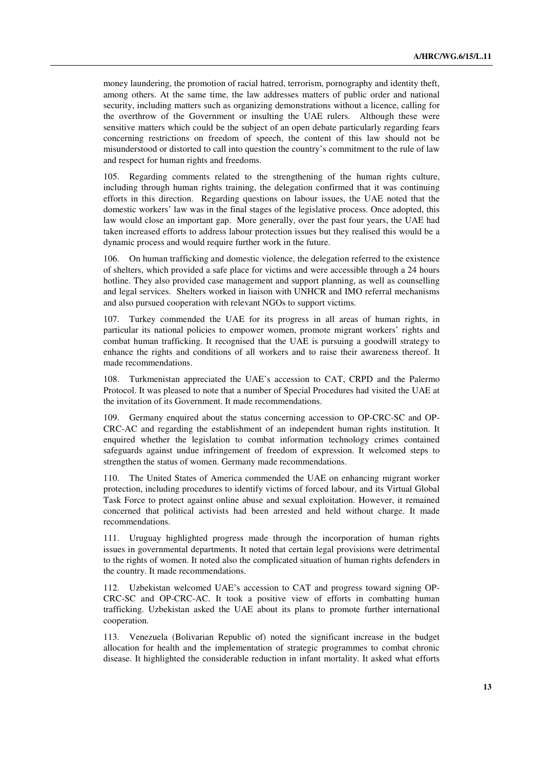money laundering, the promotion of racial hatred, terrorism, pornography and identity theft, among others. At the same time, the law addresses matters of public order and national security, including matters such as organizing demonstrations without a licence, calling for the overthrow of the Government or insulting the UAE rulers. Although these were sensitive matters which could be the subject of an open debate particularly regarding fears concerning restrictions on freedom of speech, the content of this law should not be misunderstood or distorted to call into question the country's commitment to the rule of law and respect for human rights and freedoms.

105. Regarding comments related to the strengthening of the human rights culture, including through human rights training, the delegation confirmed that it was continuing efforts in this direction. Regarding questions on labour issues, the UAE noted that the domestic workers' law was in the final stages of the legislative process. Once adopted, this law would close an important gap. More generally, over the past four years, the UAE had taken increased efforts to address labour protection issues but they realised this would be a dynamic process and would require further work in the future.

106. On human trafficking and domestic violence, the delegation referred to the existence of shelters, which provided a safe place for victims and were accessible through a 24 hours hotline. They also provided case management and support planning, as well as counselling and legal services. Shelters worked in liaison with UNHCR and IMO referral mechanisms and also pursued cooperation with relevant NGOs to support victims.

107. Turkey commended the UAE for its progress in all areas of human rights, in particular its national policies to empower women, promote migrant workers' rights and combat human trafficking. It recognised that the UAE is pursuing a goodwill strategy to enhance the rights and conditions of all workers and to raise their awareness thereof. It made recommendations.

108. Turkmenistan appreciated the UAE's accession to CAT, CRPD and the Palermo Protocol. It was pleased to note that a number of Special Procedures had visited the UAE at the invitation of its Government. It made recommendations.

109. Germany enquired about the status concerning accession to OP-CRC-SC and OP-CRC-AC and regarding the establishment of an independent human rights institution. It enquired whether the legislation to combat information technology crimes contained safeguards against undue infringement of freedom of expression. It welcomed steps to strengthen the status of women. Germany made recommendations.

110. The United States of America commended the UAE on enhancing migrant worker protection, including procedures to identify victims of forced labour, and its Virtual Global Task Force to protect against online abuse and sexual exploitation. However, it remained concerned that political activists had been arrested and held without charge. It made recommendations.

111. Uruguay highlighted progress made through the incorporation of human rights issues in governmental departments. It noted that certain legal provisions were detrimental to the rights of women. It noted also the complicated situation of human rights defenders in the country. It made recommendations.

112. Uzbekistan welcomed UAE's accession to CAT and progress toward signing OP-CRC-SC and OP-CRC-AC. It took a positive view of efforts in combatting human trafficking. Uzbekistan asked the UAE about its plans to promote further international cooperation.

113. Venezuela (Bolivarian Republic of) noted the significant increase in the budget allocation for health and the implementation of strategic programmes to combat chronic disease. It highlighted the considerable reduction in infant mortality. It asked what efforts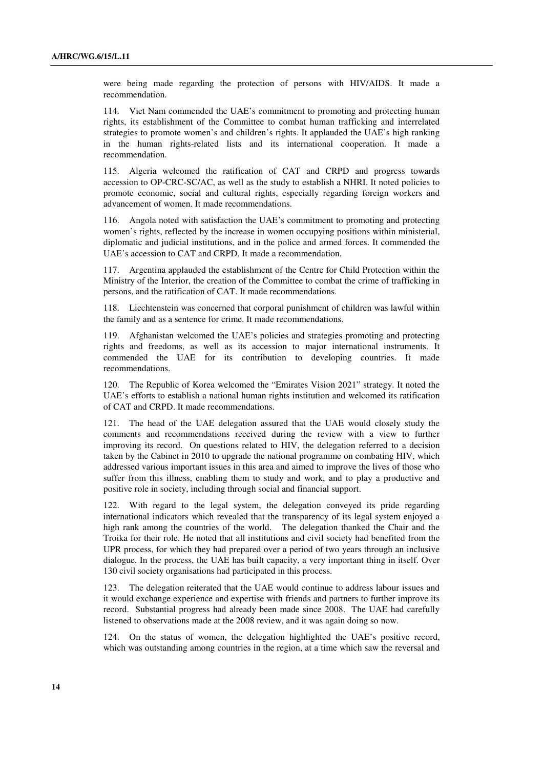were being made regarding the protection of persons with HIV/AIDS. It made a recommendation.

114. Viet Nam commended the UAE's commitment to promoting and protecting human rights, its establishment of the Committee to combat human trafficking and interrelated strategies to promote women's and children's rights. It applauded the UAE's high ranking in the human rights-related lists and its international cooperation. It made a recommendation.

115. Algeria welcomed the ratification of CAT and CRPD and progress towards accession to OP-CRC-SC/AC, as well as the study to establish a NHRI. It noted policies to promote economic, social and cultural rights, especially regarding foreign workers and advancement of women. It made recommendations.

116. Angola noted with satisfaction the UAE's commitment to promoting and protecting women's rights, reflected by the increase in women occupying positions within ministerial, diplomatic and judicial institutions, and in the police and armed forces. It commended the UAE's accession to CAT and CRPD. It made a recommendation.

117. Argentina applauded the establishment of the Centre for Child Protection within the Ministry of the Interior, the creation of the Committee to combat the crime of trafficking in persons, and the ratification of CAT. It made recommendations.

118. Liechtenstein was concerned that corporal punishment of children was lawful within the family and as a sentence for crime. It made recommendations.

119. Afghanistan welcomed the UAE's policies and strategies promoting and protecting rights and freedoms, as well as its accession to major international instruments. It commended the UAE for its contribution to developing countries. It made recommendations.

120. The Republic of Korea welcomed the "Emirates Vision 2021" strategy. It noted the UAE's efforts to establish a national human rights institution and welcomed its ratification of CAT and CRPD. It made recommendations.

121. The head of the UAE delegation assured that the UAE would closely study the comments and recommendations received during the review with a view to further improving its record. On questions related to HIV, the delegation referred to a decision taken by the Cabinet in 2010 to upgrade the national programme on combating HIV, which addressed various important issues in this area and aimed to improve the lives of those who suffer from this illness, enabling them to study and work, and to play a productive and positive role in society, including through social and financial support.

122. With regard to the legal system, the delegation conveyed its pride regarding international indicators which revealed that the transparency of its legal system enjoyed a high rank among the countries of the world. The delegation thanked the Chair and the Troika for their role. He noted that all institutions and civil society had benefited from the UPR process, for which they had prepared over a period of two years through an inclusive dialogue. In the process, the UAE has built capacity, a very important thing in itself. Over 130 civil society organisations had participated in this process.

123. The delegation reiterated that the UAE would continue to address labour issues and it would exchange experience and expertise with friends and partners to further improve its record. Substantial progress had already been made since 2008. The UAE had carefully listened to observations made at the 2008 review, and it was again doing so now.

124. On the status of women, the delegation highlighted the UAE's positive record, which was outstanding among countries in the region, at a time which saw the reversal and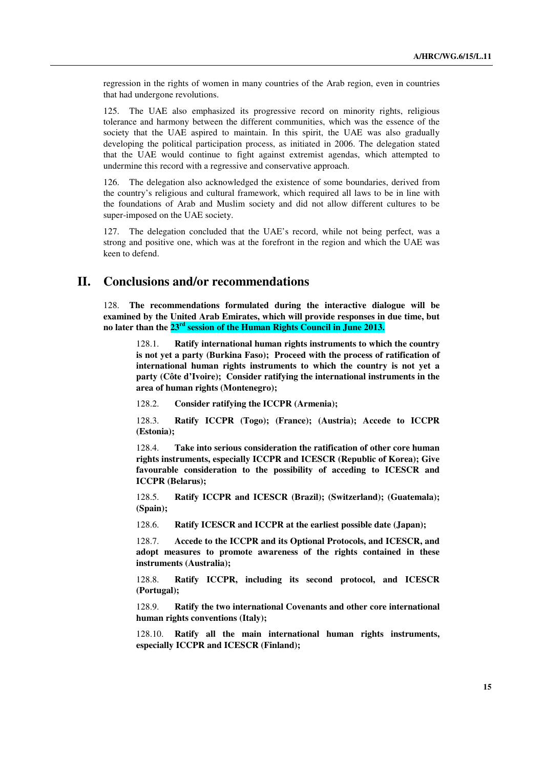regression in the rights of women in many countries of the Arab region, even in countries that had undergone revolutions.

125. The UAE also emphasized its progressive record on minority rights, religious tolerance and harmony between the different communities, which was the essence of the society that the UAE aspired to maintain. In this spirit, the UAE was also gradually developing the political participation process, as initiated in 2006. The delegation stated that the UAE would continue to fight against extremist agendas, which attempted to undermine this record with a regressive and conservative approach.

126. The delegation also acknowledged the existence of some boundaries, derived from the country's religious and cultural framework, which required all laws to be in line with the foundations of Arab and Muslim society and did not allow different cultures to be super-imposed on the UAE society.

127. The delegation concluded that the UAE's record, while not being perfect, was a strong and positive one, which was at the forefront in the region and which the UAE was keen to defend.

## **II. Conclusions and/or recommendations**

128. **The recommendations formulated during the interactive dialogue will be examined by the United Arab Emirates, which will provide responses in due time, but no later than the 23rd session of the Human Rights Council in June 2013.**

Ratify international human rights instruments to which the country **is not yet a party (Burkina Faso); Proceed with the process of ratification of international human rights instruments to which the country is not yet a party (Côte d'Ivoire); Consider ratifying the international instruments in the area of human rights (Montenegro);**

128.2. **Consider ratifying the ICCPR (Armenia);**

128.3. **Ratify ICCPR (Togo); (France); (Austria); Accede to ICCPR (Estonia);**

128.4. **Take into serious consideration the ratification of other core human rights instruments, especially ICCPR and ICESCR (Republic of Korea); Give favourable consideration to the possibility of acceding to ICESCR and ICCPR (Belarus);** 

128.5. **Ratify ICCPR and ICESCR (Brazil); (Switzerland); (Guatemala); (Spain);** 

128.6. **Ratify ICESCR and ICCPR at the earliest possible date (Japan);**

128.7. **Accede to the ICCPR and its Optional Protocols, and ICESCR, and adopt measures to promote awareness of the rights contained in these instruments (Australia);**

128.8. **Ratify ICCPR, including its second protocol, and ICESCR (Portugal);**

128.9. **Ratify the two international Covenants and other core international human rights conventions (Italy);**

128.10. **Ratify all the main international human rights instruments, especially ICCPR and ICESCR (Finland);**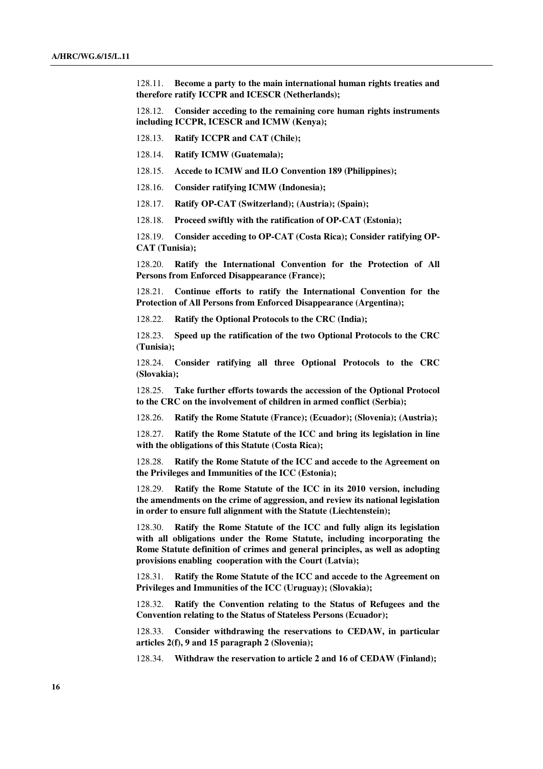128.11. **Become a party to the main international human rights treaties and therefore ratify ICCPR and ICESCR (Netherlands);**

128.12. **Consider acceding to the remaining core human rights instruments including ICCPR, ICESCR and ICMW (Kenya);**

128.13. **Ratify ICCPR and CAT (Chile);** 

128.14. **Ratify ICMW (Guatemala);**

128.15. **Accede to ICMW and ILO Convention 189 (Philippines);**

128.16. **Consider ratifying ICMW (Indonesia);** 

128.17. **Ratify OP-CAT (Switzerland); (Austria); (Spain);**

128.18. **Proceed swiftly with the ratification of OP-CAT (Estonia);**

128.19. **Consider acceding to OP-CAT (Costa Rica); Consider ratifying OP-CAT (Tunisia);**

128.20. **Ratify the International Convention for the Protection of All Persons from Enforced Disappearance (France);**

128.21. **Continue efforts to ratify the International Convention for the Protection of All Persons from Enforced Disappearance (Argentina);**

128.22. **Ratify the Optional Protocols to the CRC (India);** 

128.23. **Speed up the ratification of the two Optional Protocols to the CRC (Tunisia);** 

128.24. **Consider ratifying all three Optional Protocols to the CRC (Slovakia);** 

128.25. **Take further efforts towards the accession of the Optional Protocol to the CRC on the involvement of children in armed conflict (Serbia);**

128.26. **Ratify the Rome Statute (France); (Ecuador); (Slovenia); (Austria);**

128.27. **Ratify the Rome Statute of the ICC and bring its legislation in line with the obligations of this Statute (Costa Rica);**

128.28. **Ratify the Rome Statute of the ICC and accede to the Agreement on the Privileges and Immunities of the ICC (Estonia);**

128.29. **Ratify the Rome Statute of the ICC in its 2010 version, including the amendments on the crime of aggression, and review its national legislation in order to ensure full alignment with the Statute (Liechtenstein);** 

128.30. **Ratify the Rome Statute of the ICC and fully align its legislation with all obligations under the Rome Statute, including incorporating the Rome Statute definition of crimes and general principles, as well as adopting provisions enabling cooperation with the Court (Latvia);**

128.31. **Ratify the Rome Statute of the ICC and accede to the Agreement on Privileges and Immunities of the ICC (Uruguay); (Slovakia);** 

128.32. **Ratify the Convention relating to the Status of Refugees and the Convention relating to the Status of Stateless Persons (Ecuador);**

128.33. **Consider withdrawing the reservations to CEDAW, in particular articles 2(f), 9 and 15 paragraph 2 (Slovenia);**

128.34. **Withdraw the reservation to article 2 and 16 of CEDAW (Finland);**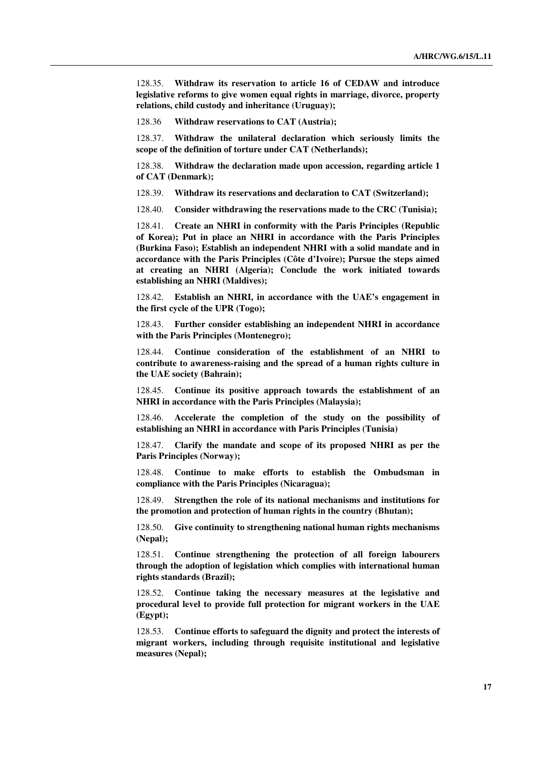128.35. **Withdraw its reservation to article 16 of CEDAW and introduce legislative reforms to give women equal rights in marriage, divorce, property relations, child custody and inheritance (Uruguay);**

128.36 **Withdraw reservations to CAT (Austria);**

128.37. **Withdraw the unilateral declaration which seriously limits the scope of the definition of torture under CAT (Netherlands);**

128.38. **Withdraw the declaration made upon accession, regarding article 1 of CAT (Denmark);** 

128.39. **Withdraw its reservations and declaration to CAT (Switzerland);**

128.40. **Consider withdrawing the reservations made to the CRC (Tunisia);**

128.41. **Create an NHRI in conformity with the Paris Principles (Republic of Korea); Put in place an NHRI in accordance with the Paris Principles (Burkina Faso); Establish an independent NHRI with a solid mandate and in accordance with the Paris Principles (Côte d'Ivoire); Pursue the steps aimed at creating an NHRI (Algeria); Conclude the work initiated towards establishing an NHRI (Maldives);**

128.42. **Establish an NHRI, in accordance with the UAE's engagement in the first cycle of the UPR (Togo);**

128.43. **Further consider establishing an independent NHRI in accordance with the Paris Principles (Montenegro);**

128.44. **Continue consideration of the establishment of an NHRI to contribute to awareness-raising and the spread of a human rights culture in the UAE society (Bahrain);**

128.45. **Continue its positive approach towards the establishment of an NHRI in accordance with the Paris Principles (Malaysia);**

128.46. **Accelerate the completion of the study on the possibility of establishing an NHRI in accordance with Paris Principles (Tunisia)**

128.47. **Clarify the mandate and scope of its proposed NHRI as per the Paris Principles (Norway);** 

128.48. **Continue to make efforts to establish the Ombudsman in compliance with the Paris Principles (Nicaragua);**

128.49. **Strengthen the role of its national mechanisms and institutions for the promotion and protection of human rights in the country (Bhutan);** 

128.50. **Give continuity to strengthening national human rights mechanisms (Nepal);** 

128.51. **Continue strengthening the protection of all foreign labourers through the adoption of legislation which complies with international human rights standards (Brazil);** 

128.52. **Continue taking the necessary measures at the legislative and procedural level to provide full protection for migrant workers in the UAE (Egypt);**

128.53. **Continue efforts to safeguard the dignity and protect the interests of migrant workers, including through requisite institutional and legislative measures (Nepal);**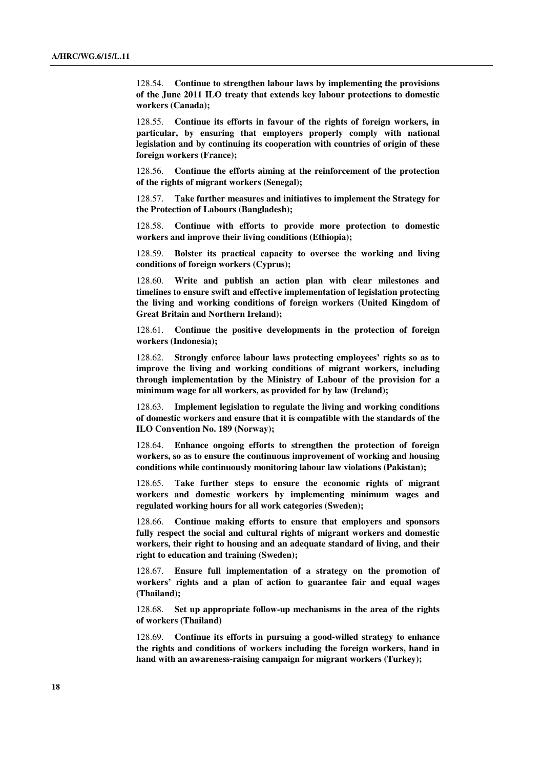128.54. **Continue to strengthen labour laws by implementing the provisions of the June 2011 ILO treaty that extends key labour protections to domestic workers (Canada);**

128.55. **Continue its efforts in favour of the rights of foreign workers, in particular, by ensuring that employers properly comply with national legislation and by continuing its cooperation with countries of origin of these foreign workers (France);** 

128.56. **Continue the efforts aiming at the reinforcement of the protection of the rights of migrant workers (Senegal);**

128.57. **Take further measures and initiatives to implement the Strategy for the Protection of Labours (Bangladesh);**

128.58. **Continue with efforts to provide more protection to domestic workers and improve their living conditions (Ethiopia);**

128.59. **Bolster its practical capacity to oversee the working and living conditions of foreign workers (Cyprus);** 

128.60. **Write and publish an action plan with clear milestones and timelines to ensure swift and effective implementation of legislation protecting the living and working conditions of foreign workers (United Kingdom of Great Britain and Northern Ireland);**

128.61. **Continue the positive developments in the protection of foreign workers (Indonesia);**

128.62. **Strongly enforce labour laws protecting employees' rights so as to improve the living and working conditions of migrant workers, including through implementation by the Ministry of Labour of the provision for a minimum wage for all workers, as provided for by law (Ireland);** 

128.63. **Implement legislation to regulate the living and working conditions of domestic workers and ensure that it is compatible with the standards of the ILO Convention No. 189 (Norway);** 

128.64. **Enhance ongoing efforts to strengthen the protection of foreign workers, so as to ensure the continuous improvement of working and housing conditions while continuously monitoring labour law violations (Pakistan);**

128.65. **Take further steps to ensure the economic rights of migrant workers and domestic workers by implementing minimum wages and regulated working hours for all work categories (Sweden);**

128.66. **Continue making efforts to ensure that employers and sponsors fully respect the social and cultural rights of migrant workers and domestic workers, their right to housing and an adequate standard of living, and their right to education and training (Sweden);**

128.67. **Ensure full implementation of a strategy on the promotion of workers' rights and a plan of action to guarantee fair and equal wages (Thailand);**

128.68. **Set up appropriate follow-up mechanisms in the area of the rights of workers (Thailand)** 

128.69. **Continue its efforts in pursuing a good-willed strategy to enhance the rights and conditions of workers including the foreign workers, hand in hand with an awareness-raising campaign for migrant workers (Turkey);**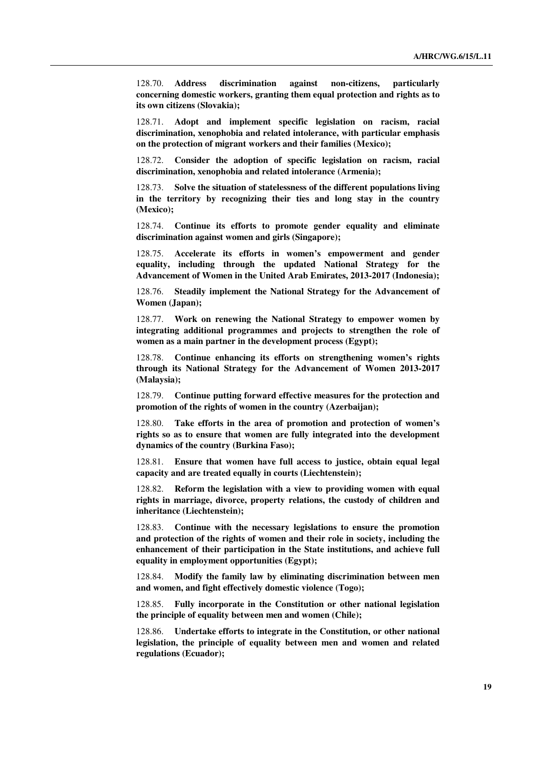128.70. **Address discrimination against non-citizens, particularly concerning domestic workers, granting them equal protection and rights as to its own citizens (Slovakia);**

128.71. **Adopt and implement specific legislation on racism, racial discrimination, xenophobia and related intolerance, with particular emphasis on the protection of migrant workers and their families (Mexico);**

128.72. **Consider the adoption of specific legislation on racism, racial discrimination, xenophobia and related intolerance (Armenia);**

128.73. **Solve the situation of statelessness of the different populations living in the territory by recognizing their ties and long stay in the country (Mexico);**

128.74. **Continue its efforts to promote gender equality and eliminate discrimination against women and girls (Singapore);**

128.75. **Accelerate its efforts in women's empowerment and gender equality, including through the updated National Strategy for the Advancement of Women in the United Arab Emirates, 2013-2017 (Indonesia);**

128.76. **Steadily implement the National Strategy for the Advancement of Women (Japan);**

128.77. **Work on renewing the National Strategy to empower women by integrating additional programmes and projects to strengthen the role of women as a main partner in the development process (Egypt);**

128.78. **Continue enhancing its efforts on strengthening women's rights through its National Strategy for the Advancement of Women 2013-2017 (Malaysia);**

128.79. **Continue putting forward effective measures for the protection and promotion of the rights of women in the country (Azerbaijan);**

128.80. **Take efforts in the area of promotion and protection of women's rights so as to ensure that women are fully integrated into the development dynamics of the country (Burkina Faso);** 

128.81. **Ensure that women have full access to justice, obtain equal legal capacity and are treated equally in courts (Liechtenstein);** 

128.82. **Reform the legislation with a view to providing women with equal rights in marriage, divorce, property relations, the custody of children and inheritance (Liechtenstein);** 

128.83. **Continue with the necessary legislations to ensure the promotion and protection of the rights of women and their role in society, including the enhancement of their participation in the State institutions, and achieve full equality in employment opportunities (Egypt);** 

128.84. **Modify the family law by eliminating discrimination between men and women, and fight effectively domestic violence (Togo);** 

128.85. **Fully incorporate in the Constitution or other national legislation the principle of equality between men and women (Chile);** 

128.86. **Undertake efforts to integrate in the Constitution, or other national legislation, the principle of equality between men and women and related regulations (Ecuador);**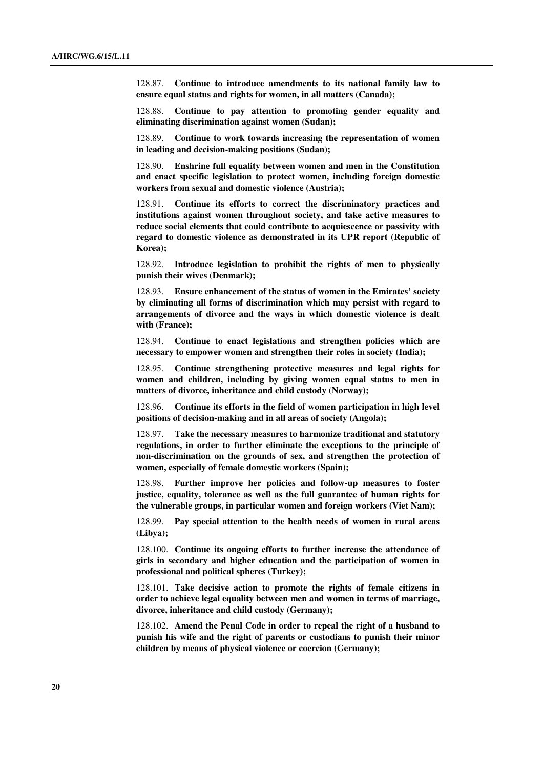128.87. **Continue to introduce amendments to its national family law to ensure equal status and rights for women, in all matters (Canada);** 

128.88. **Continue to pay attention to promoting gender equality and eliminating discrimination against women (Sudan);** 

128.89. **Continue to work towards increasing the representation of women in leading and decision-making positions (Sudan);**

128.90. **Enshrine full equality between women and men in the Constitution and enact specific legislation to protect women, including foreign domestic workers from sexual and domestic violence (Austria);** 

128.91. **Continue its efforts to correct the discriminatory practices and institutions against women throughout society, and take active measures to reduce social elements that could contribute to acquiescence or passivity with regard to domestic violence as demonstrated in its UPR report (Republic of Korea);**

128.92. **Introduce legislation to prohibit the rights of men to physically punish their wives (Denmark);** 

128.93. **Ensure enhancement of the status of women in the Emirates' society by eliminating all forms of discrimination which may persist with regard to arrangements of divorce and the ways in which domestic violence is dealt with (France);**

128.94. **Continue to enact legislations and strengthen policies which are necessary to empower women and strengthen their roles in society (India);**

128.95. **Continue strengthening protective measures and legal rights for women and children, including by giving women equal status to men in matters of divorce, inheritance and child custody (Norway);** 

128.96. **Continue its efforts in the field of women participation in high level positions of decision-making and in all areas of society (Angola);**

128.97. **Take the necessary measures to harmonize traditional and statutory regulations, in order to further eliminate the exceptions to the principle of non-discrimination on the grounds of sex, and strengthen the protection of women, especially of female domestic workers (Spain);**

128.98. **Further improve her policies and follow-up measures to foster justice, equality, tolerance as well as the full guarantee of human rights for the vulnerable groups, in particular women and foreign workers (Viet Nam);**

128.99. **Pay special attention to the health needs of women in rural areas (Libya);** 

128.100. **Continue its ongoing efforts to further increase the attendance of girls in secondary and higher education and the participation of women in professional and political spheres (Turkey);** 

128.101. **Take decisive action to promote the rights of female citizens in order to achieve legal equality between men and women in terms of marriage, divorce, inheritance and child custody (Germany);** 

128.102. **Amend the Penal Code in order to repeal the right of a husband to punish his wife and the right of parents or custodians to punish their minor children by means of physical violence or coercion (Germany);**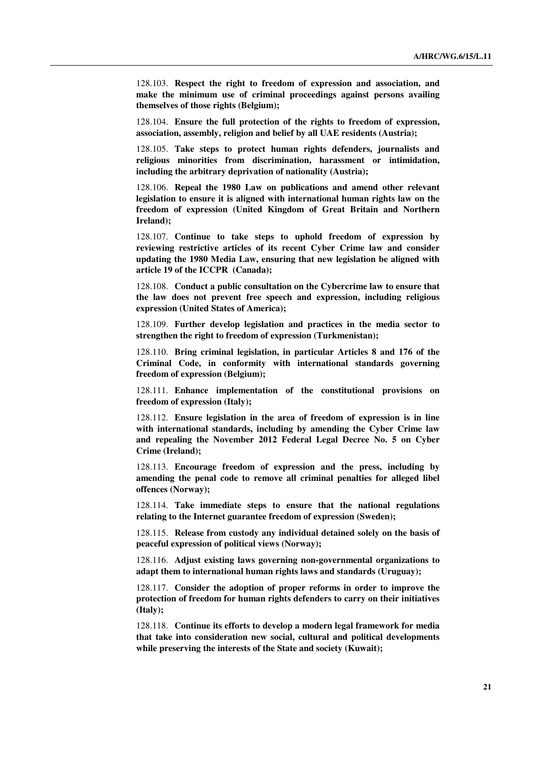128.103. **Respect the right to freedom of expression and association, and make the minimum use of criminal proceedings against persons availing themselves of those rights (Belgium);** 

128.104. **Ensure the full protection of the rights to freedom of expression, association, assembly, religion and belief by all UAE residents (Austria);** 

128.105. **Take steps to protect human rights defenders, journalists and religious minorities from discrimination, harassment or intimidation, including the arbitrary deprivation of nationality (Austria);** 

128.106. **Repeal the 1980 Law on publications and amend other relevant legislation to ensure it is aligned with international human rights law on the freedom of expression (United Kingdom of Great Britain and Northern Ireland);**

128.107. **Continue to take steps to uphold freedom of expression by reviewing restrictive articles of its recent Cyber Crime law and consider updating the 1980 Media Law, ensuring that new legislation be aligned with article 19 of the ICCPR (Canada);**

128.108. **Conduct a public consultation on the Cybercrime law to ensure that the law does not prevent free speech and expression, including religious expression (United States of America);**

128.109. **Further develop legislation and practices in the media sector to strengthen the right to freedom of expression (Turkmenistan);**

128.110. **Bring criminal legislation, in particular Articles 8 and 176 of the Criminal Code, in conformity with international standards governing freedom of expression (Belgium);** 

128.111. **Enhance implementation of the constitutional provisions on freedom of expression (Italy);**

128.112. **Ensure legislation in the area of freedom of expression is in line with international standards, including by amending the Cyber Crime law and repealing the November 2012 Federal Legal Decree No. 5 on Cyber Crime (Ireland);**

128.113. **Encourage freedom of expression and the press, including by amending the penal code to remove all criminal penalties for alleged libel offences (Norway);**

128.114. **Take immediate steps to ensure that the national regulations relating to the Internet guarantee freedom of expression (Sweden);**

128.115. **Release from custody any individual detained solely on the basis of peaceful expression of political views (Norway);**

128.116. **Adjust existing laws governing non-governmental organizations to adapt them to international human rights laws and standards (Uruguay);**

128.117. **Consider the adoption of proper reforms in order to improve the protection of freedom for human rights defenders to carry on their initiatives (Italy);** 

128.118. **Continue its efforts to develop a modern legal framework for media that take into consideration new social, cultural and political developments while preserving the interests of the State and society (Kuwait);**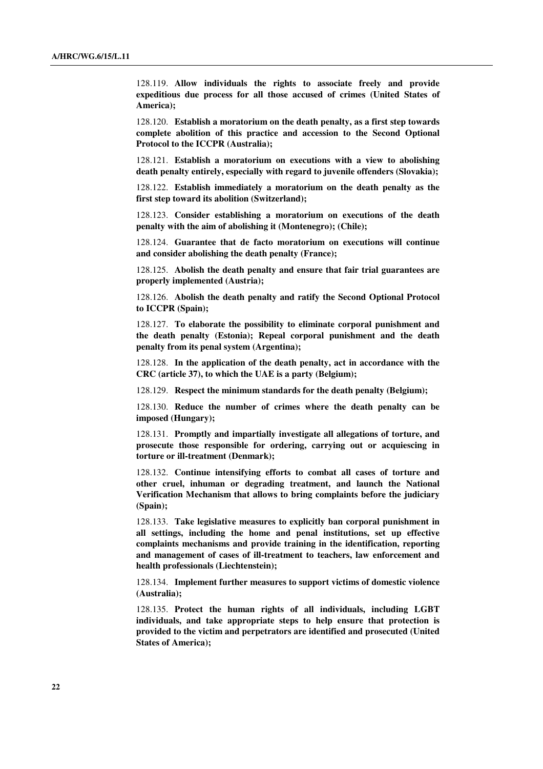128.119. **Allow individuals the rights to associate freely and provide expeditious due process for all those accused of crimes (United States of America);**

128.120. **Establish a moratorium on the death penalty, as a first step towards complete abolition of this practice and accession to the Second Optional Protocol to the ICCPR (Australia);** 

128.121. **Establish a moratorium on executions with a view to abolishing death penalty entirely, especially with regard to juvenile offenders (Slovakia);**

128.122. **Establish immediately a moratorium on the death penalty as the first step toward its abolition (Switzerland);** 

128.123. **Consider establishing a moratorium on executions of the death penalty with the aim of abolishing it (Montenegro); (Chile);**

128.124. **Guarantee that de facto moratorium on executions will continue and consider abolishing the death penalty (France);**

128.125. **Abolish the death penalty and ensure that fair trial guarantees are properly implemented (Austria);**

128.126. **Abolish the death penalty and ratify the Second Optional Protocol to ICCPR (Spain);** 

128.127. **To elaborate the possibility to eliminate corporal punishment and the death penalty (Estonia); Repeal corporal punishment and the death penalty from its penal system (Argentina);** 

128.128. **In the application of the death penalty, act in accordance with the CRC (article 37), to which the UAE is a party (Belgium);** 

128.129. **Respect the minimum standards for the death penalty (Belgium);**

128.130. **Reduce the number of crimes where the death penalty can be imposed (Hungary);**

128.131. **Promptly and impartially investigate all allegations of torture, and prosecute those responsible for ordering, carrying out or acquiescing in torture or ill-treatment (Denmark);**

128.132. **Continue intensifying efforts to combat all cases of torture and other cruel, inhuman or degrading treatment, and launch the National Verification Mechanism that allows to bring complaints before the judiciary (Spain);** 

128.133. **Take legislative measures to explicitly ban corporal punishment in all settings, including the home and penal institutions, set up effective complaints mechanisms and provide training in the identification, reporting and management of cases of ill-treatment to teachers, law enforcement and health professionals (Liechtenstein);**

128.134. **Implement further measures to support victims of domestic violence (Australia);** 

128.135. **Protect the human rights of all individuals, including LGBT individuals, and take appropriate steps to help ensure that protection is provided to the victim and perpetrators are identified and prosecuted (United States of America);**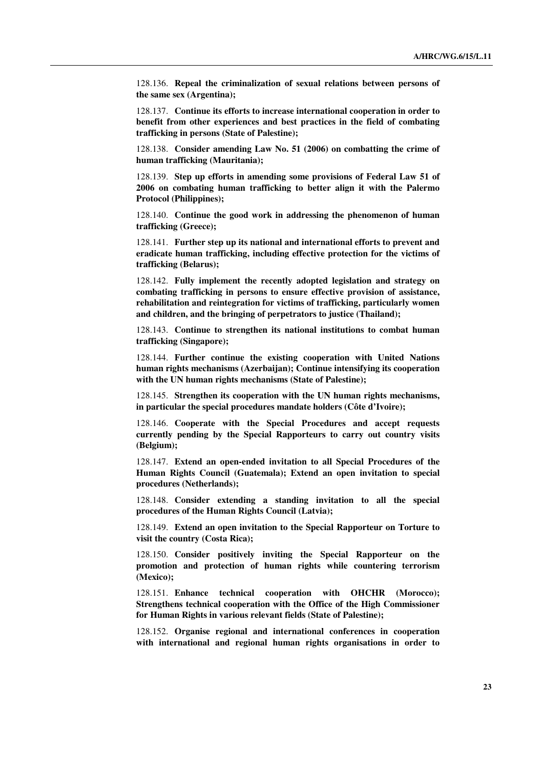128.136. **Repeal the criminalization of sexual relations between persons of the same sex (Argentina);**

128.137. **Continue its efforts to increase international cooperation in order to benefit from other experiences and best practices in the field of combating trafficking in persons (State of Palestine);**

128.138. **Consider amending Law No. 51 (2006) on combatting the crime of human trafficking (Mauritania);**

128.139. **Step up efforts in amending some provisions of Federal Law 51 of 2006 on combating human trafficking to better align it with the Palermo Protocol (Philippines);**

128.140. **Continue the good work in addressing the phenomenon of human trafficking (Greece);**

128.141. **Further step up its national and international efforts to prevent and eradicate human trafficking, including effective protection for the victims of trafficking (Belarus);**

128.142. **Fully implement the recently adopted legislation and strategy on combating trafficking in persons to ensure effective provision of assistance, rehabilitation and reintegration for victims of trafficking, particularly women and children, and the bringing of perpetrators to justice (Thailand);**

128.143. **Continue to strengthen its national institutions to combat human trafficking (Singapore);** 

128.144. **Further continue the existing cooperation with United Nations human rights mechanisms (Azerbaijan); Continue intensifying its cooperation with the UN human rights mechanisms (State of Palestine);**

128.145. **Strengthen its cooperation with the UN human rights mechanisms, in particular the special procedures mandate holders (Côte d'Ivoire);**

128.146. **Cooperate with the Special Procedures and accept requests currently pending by the Special Rapporteurs to carry out country visits (Belgium);**

128.147. **Extend an open-ended invitation to all Special Procedures of the Human Rights Council (Guatemala); Extend an open invitation to special procedures (Netherlands);**

128.148. **Consider extending a standing invitation to all the special procedures of the Human Rights Council (Latvia);**

128.149. **Extend an open invitation to the Special Rapporteur on Torture to visit the country (Costa Rica);**

128.150. **Consider positively inviting the Special Rapporteur on the promotion and protection of human rights while countering terrorism (Mexico);**

128.151. **Enhance technical cooperation with OHCHR (Morocco); Strengthens technical cooperation with the Office of the High Commissioner for Human Rights in various relevant fields (State of Palestine);**

128.152. **Organise regional and international conferences in cooperation with international and regional human rights organisations in order to**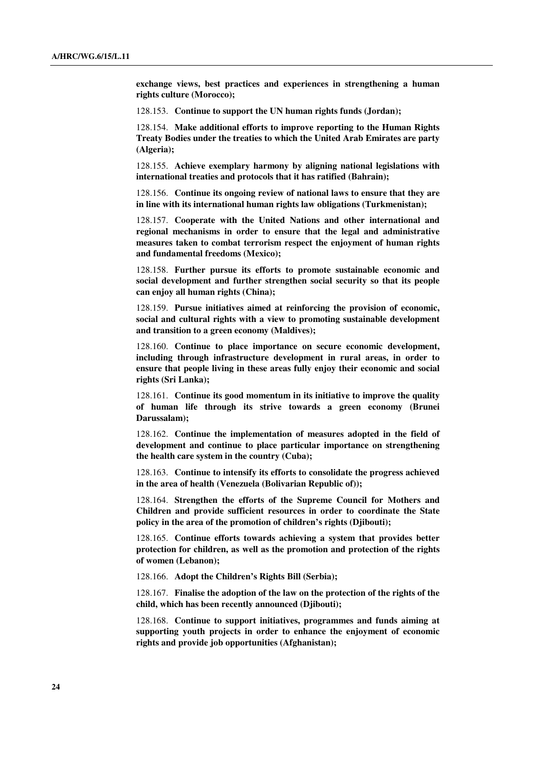**exchange views, best practices and experiences in strengthening a human rights culture (Morocco);**

128.153. **Continue to support the UN human rights funds (Jordan);**

128.154. **Make additional efforts to improve reporting to the Human Rights Treaty Bodies under the treaties to which the United Arab Emirates are party (Algeria);** 

128.155. **Achieve exemplary harmony by aligning national legislations with international treaties and protocols that it has ratified (Bahrain);**

128.156. **Continue its ongoing review of national laws to ensure that they are in line with its international human rights law obligations (Turkmenistan);**

128.157. **Cooperate with the United Nations and other international and regional mechanisms in order to ensure that the legal and administrative measures taken to combat terrorism respect the enjoyment of human rights and fundamental freedoms (Mexico);**

128.158. **Further pursue its efforts to promote sustainable economic and social development and further strengthen social security so that its people can enjoy all human rights (China);**

128.159. **Pursue initiatives aimed at reinforcing the provision of economic, social and cultural rights with a view to promoting sustainable development and transition to a green economy (Maldives);**

128.160. **Continue to place importance on secure economic development, including through infrastructure development in rural areas, in order to ensure that people living in these areas fully enjoy their economic and social rights (Sri Lanka);**

128.161. **Continue its good momentum in its initiative to improve the quality of human life through its strive towards a green economy (Brunei Darussalam);**

128.162. **Continue the implementation of measures adopted in the field of development and continue to place particular importance on strengthening the health care system in the country (Cuba);**

128.163. **Continue to intensify its efforts to consolidate the progress achieved in the area of health (Venezuela (Bolivarian Republic of));** 

128.164. **Strengthen the efforts of the Supreme Council for Mothers and Children and provide sufficient resources in order to coordinate the State policy in the area of the promotion of children's rights (Djibouti);** 

128.165. **Continue efforts towards achieving a system that provides better protection for children, as well as the promotion and protection of the rights of women (Lebanon);**

128.166. **Adopt the Children's Rights Bill (Serbia);**

128.167. **Finalise the adoption of the law on the protection of the rights of the child, which has been recently announced (Djibouti);**

128.168. **Continue to support initiatives, programmes and funds aiming at supporting youth projects in order to enhance the enjoyment of economic rights and provide job opportunities (Afghanistan);**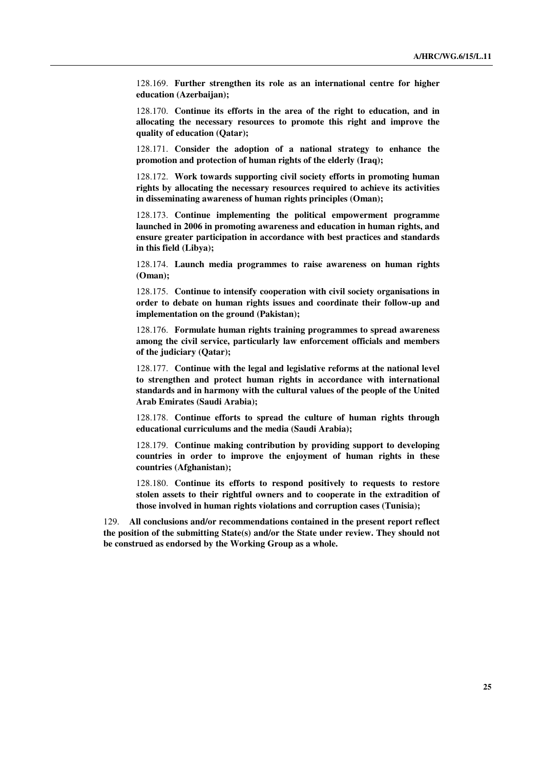128.169. **Further strengthen its role as an international centre for higher education (Azerbaijan);**

128.170. **Continue its efforts in the area of the right to education, and in allocating the necessary resources to promote this right and improve the quality of education (Qatar);**

128.171. **Consider the adoption of a national strategy to enhance the promotion and protection of human rights of the elderly (Iraq);**

128.172. **Work towards supporting civil society efforts in promoting human rights by allocating the necessary resources required to achieve its activities in disseminating awareness of human rights principles (Oman);**

128.173. **Continue implementing the political empowerment programme launched in 2006 in promoting awareness and education in human rights, and ensure greater participation in accordance with best practices and standards in this field (Libya);**

128.174. **Launch media programmes to raise awareness on human rights (Oman);** 

128.175. **Continue to intensify cooperation with civil society organisations in order to debate on human rights issues and coordinate their follow-up and implementation on the ground (Pakistan);**

128.176. **Formulate human rights training programmes to spread awareness among the civil service, particularly law enforcement officials and members of the judiciary (Qatar);** 

128.177. **Continue with the legal and legislative reforms at the national level to strengthen and protect human rights in accordance with international standards and in harmony with the cultural values of the people of the United Arab Emirates (Saudi Arabia);**

128.178. **Continue efforts to spread the culture of human rights through educational curriculums and the media (Saudi Arabia);**

128.179. **Continue making contribution by providing support to developing countries in order to improve the enjoyment of human rights in these countries (Afghanistan);**

128.180. **Continue its efforts to respond positively to requests to restore stolen assets to their rightful owners and to cooperate in the extradition of those involved in human rights violations and corruption cases (Tunisia);**

129. **All conclusions and/or recommendations contained in the present report reflect the position of the submitting State(s) and/or the State under review. They should not be construed as endorsed by the Working Group as a whole.**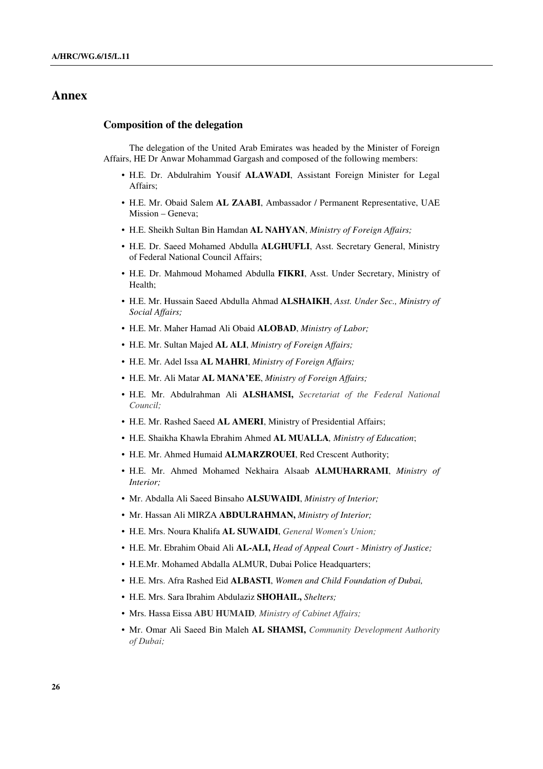### **Annex**

### **Composition of the delegation**

The delegation of the United Arab Emirates was headed by the Minister of Foreign Affairs, HE Dr Anwar Mohammad Gargash and composed of the following members:

- H.E. Dr. Abdulrahim Yousif **ALAWADI**, Assistant Foreign Minister for Legal Affairs;
- H.E. Mr. Obaid Salem **AL ZAABI**, Ambassador / Permanent Representative, UAE Mission – Geneva;
- H.E. Sheikh Sultan Bin Hamdan **AL NAHYAN**, *Ministry of Foreign Affairs;*
- H.E. Dr. Saeed Mohamed Abdulla **ALGHUFLI**, Asst. Secretary General, Ministry of Federal National Council Affairs;
- H.E. Dr. Mahmoud Mohamed Abdulla **FIKRI**, Asst. Under Secretary, Ministry of Health;
- H.E. Mr. Hussain Saeed Abdulla Ahmad **ALSHAIKH**, *Asst. Under Sec., Ministry of Social Affairs;*
- H.E. Mr. Maher Hamad Ali Obaid **ALOBAD**, *Ministry of Labor;*
- H.E. Mr. Sultan Majed **AL ALI**, *Ministry of Foreign Affairs;*
- H.E. Mr. Adel Issa **AL MAHRI**, *Ministry of Foreign Affairs;*
- H.E. Mr. Ali Matar **AL MANA'EE**, *Ministry of Foreign Affairs;*
- H.E. Mr. Abdulrahman Ali **ALSHAMSI,** *Secretariat of the Federal National Council;*
- H.E. Mr. Rashed Saeed **AL AMERI**, Ministry of Presidential Affairs;
- H.E. Shaikha Khawla Ebrahim Ahmed **AL MUALLA***, Ministry of Education*;
- H.E. Mr. Ahmed Humaid **ALMARZROUEI**, Red Crescent Authority;
- H.E. Mr. Ahmed Mohamed Nekhaira Alsaab **ALMUHARRAMI**, *Ministry of Interior;*
- Mr. Abdalla Ali Saeed Binsaho **ALSUWAIDI**, *Ministry of Interior;*
- Mr. Hassan Ali MIRZA **ABDULRAHMAN,** *Ministry of Interior;*
- H.E. Mrs. Noura Khalifa **AL SUWAIDI**, *General Women's Union;*
- H.E. Mr. Ebrahim Obaid Ali **AL-ALI,** *Head of Appeal Court Ministry of Justice;*
- H.E.Mr. Mohamed Abdalla ALMUR, Dubai Police Headquarters;
- H.E. Mrs. Afra Rashed Eid **ALBASTI**, *Women and Child Foundation of Dubai,*
- H.E. Mrs. Sara Ibrahim Abdulaziz **SHOHAIL,** *Shelters;*
- Mrs. Hassa Eissa **ABU HUMAID***, Ministry of Cabinet Affairs;*
- Mr. Omar Ali Saeed Bin Maleh **AL SHAMSI,** *Community Development Authority of Dubai;*